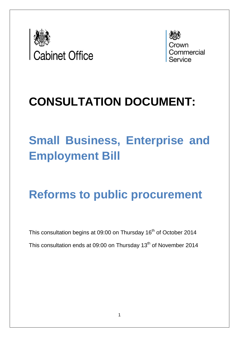

Commercial

## **CONSULTATION DOCUMENT:**

# **Small Business, Enterprise and Employment Bill**

## **Reforms to public procurement**

This consultation begins at 09:00 on Thursday 16<sup>th</sup> of October 2014 This consultation ends at 09:00 on Thursday 13<sup>th</sup> of November 2014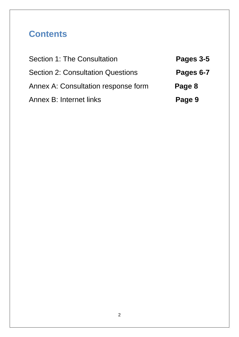## **Contents**

| Section 1: The Consultation              | Pages 3-5 |
|------------------------------------------|-----------|
| <b>Section 2: Consultation Questions</b> | Pages 6-7 |
| Annex A: Consultation response form      | Page 8    |
| <b>Annex B: Internet links</b>           | Page 9    |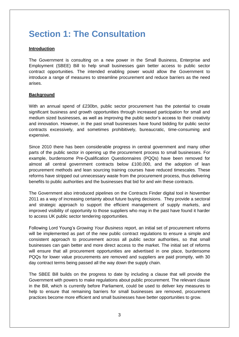## **Section 1: The Consultation**

#### **Introduction**

The Government is consulting on a new power in the Small Business, Enterprise and Employment (SBEE) Bill to help small businesses gain better access to public sector contract opportunities. The intended enabling power would allow the Government to introduce a range of measures to streamline procurement and reduce barriers as the need arises.

#### **Background**

With an annual spend of £230bn, public sector procurement has the potential to create significant business and growth opportunities through increased participation for small and medium sized businesses, as well as improving the public sector's access to their creativity and innovation. However, in the past small businesses have found bidding for public sector contracts excessively, and sometimes prohibitively, bureaucratic, time-consuming and expensive.

Since 2010 there has been considerable progress in central government and many other parts of the public sector in opening up the procurement process to small businesses. For example, burdensome Pre-Qualification Questionnaires (PQQs) have been removed for almost all central government contracts below £100,000, and the adoption of lean procurement methods and lean sourcing training courses have reduced timescales. These reforms have stripped out unnecessary waste from the procurement process, thus delivering benefits to public authorities and the businesses that bid for and win these contracts.

The Government also introduced pipelines on the [Contracts Finder digital tool](https://online.contractsfinder.businesslink.gov.uk/) in November 2011 as a way of increasing certainty about future buying decisions. They provide a sectoral and strategic approach to support the efficient management of supply markets, and improved visibility of opportunity to those suppliers who may in the past have found it harder to access UK public sector tendering opportunities.

Following Lord Young's *Growing Your Business* report, an initial set of procurement reforms will be implemented as part of the new public contract regulations to ensure a simple and consistent approach to procurement across all public sector authorities, so that small businesses can gain better and more direct access to the market. The initial set of reforms will ensure that all procurement opportunities are advertised in one place, burdensome PQQs for lower value procurements are removed and suppliers are paid promptly, with 30 day contract terms being passed all the way down the supply chain.

The SBEE Bill builds on the progress to date by including a clause that will provide the Government with powers to make regulations about public procurement. The relevant clause in the Bill, which is currently before Parliament, could be used to deliver key measures to help to ensure that remaining barriers for small businesses are removed, procurement practices become more efficient and small businesses have better opportunities to grow.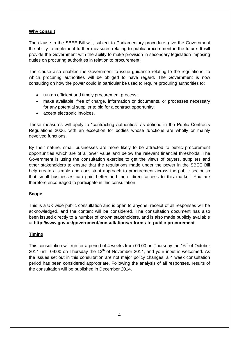#### **Why consult**

The clause in the SBEE Bill will, subject to Parliamentary procedure, give the Government the ability to implement further measures relating to public procurement in the future. It will provide the Government with the ability to make provision in secondary legislation imposing duties on procuring authorities in relation to procurement.

The clause also enables the Government to issue guidance relating to the regulations, to which procuring authorities will be obliged to have regard. The Government is now consulting on how the power could in particular be used to require procuring authorities to;

- run an efficient and timely procurement process;
- make available, free of charge, information or documents, or processes necessary for any potential supplier to bid for a contract opportunity;
- accept electronic invoices.

These measures will apply to "contracting authorities" as defined in the Public Contracts Regulations 2006, with an exception for bodies whose functions are wholly or mainly devolved functions.

By their nature, small businesses are more likely to be attracted to public procurement opportunities which are of a lower value and below the relevant financial thresholds. The Government is using the consultation exercise to get the views of buyers, suppliers and other stakeholders to ensure that the regulations made under the power in the SBEE Bill help create a simple and consistent approach to procurement across the public sector so that small businesses can gain better and more direct access to this market. You are therefore encouraged to participate in this consultation.

#### **Scope**

This is a UK wide public consultation and is open to anyone; receipt of all responses will be acknowledged, and the content will be considered. The consultation document has also been issued directly to a number of known stakeholders, and is also made publicly available at **http://www.gov.uk/government/consultations/reforms-to-public-procurement**.

#### **Timing**

This consultation will run for a period of 4 weeks from 09:00 on Thursday the 16<sup>th</sup> of October 2014 until 09:00 on Thursday the  $13<sup>th</sup>$  of November 2014, and your input is welcomed. As the issues set out in this consultation are not major policy changes, a 4 week consultation period has been considered appropriate. Following the analysis of all responses, results of the consultation will be published in December 2014.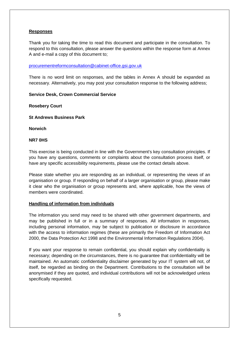#### **Responses**

Thank you for taking the time to read this document and participate in the consultation. To respond to this consultation, please answer the questions within the response form at Annex A and e-mail a copy of this document to;

#### [procurementreformconsultation@cabinet-office.gsi.gov.uk](mailto:procurementreformconsultation@cabinet-office.gsi.gov.uk)

There is no word limit on responses, and the tables in Annex A should be expanded as necessary. Alternatively, you may post your consultation response to the following address;

#### **Service Desk, Crown Commercial Service**

**Rosebery Court**

**St Andrews Business Park**

**Norwich**

#### **NR7 0HS**

This exercise is being conducted in line with the Government's key consultation principles. If you have any questions, comments or complaints about the consultation process itself, or have any specific accessibility requirements, please use the contact details above.

Please state whether you are responding as an individual, or representing the views of an organisation or group. If responding on behalf of a larger organisation or group, please make it clear who the organisation or group represents and, where applicable, how the views of members were coordinated.

#### **Handling of information from individuals**

The information you send may need to be shared with other government departments, and may be published in full or in a summary of responses. All information in responses, including personal information, may be subject to publication or disclosure in accordance with the access to information regimes (these are primarily the Freedom of Information Act 2000, the Data Protection Act 1998 and the Environmental Information Regulations 2004).

If you want your response to remain confidential, you should explain why confidentiality is necessary; depending on the circumstances, there is no guarantee that confidentiality will be maintained. An automatic confidentiality disclaimer generated by your IT system will not, of itself, be regarded as binding on the Department. Contributions to the consultation will be anonymised if they are quoted, and individual contributions will not be acknowledged unless specifically requested.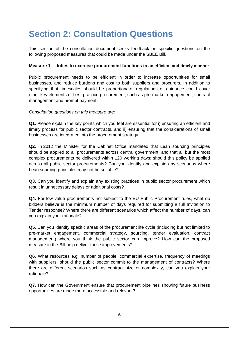## **Section 2: Consultation Questions**

This section of the consultation document seeks feedback on specific questions on the following proposed measures that could be made under the SBEE Bill.

#### **Measure 1 – duties to exercise procurement functions in an efficient and timely manner**

Public procurement needs to be efficient in order to increase opportunities for small businesses, and reduce burdens and cost to both suppliers and procurers. In addition to specifying that timescales should be proportionate, regulations or guidance could cover other key elements of best practice procurement, such as pre-market engagement, contract management and prompt payment.

*Consultation questions on this measure are;*

**Q1.** Please explain the key points which you feel are essential for i) ensuring an efficient and timely process for public sector contracts, and ii) ensuring that the considerations of small businesses are integrated into the procurement strategy.

**Q2.** In 2012 the Minister for the Cabinet Office mandated that Lean sourcing principles should be applied to all procurements across central government, and that all but the most complex procurements be delivered within 120 working days; should this policy be applied across all public sector procurements? Can you identify and explain any scenarios where Lean sourcing principles may not be suitable?

**Q3.** Can you identify and explain any existing practices in public sector procurement which result in unnecessary delays or additional costs?

**Q4.** For low value procurements not subject to the EU Public Procurement rules, what do bidders believe is the minimum number of days required for submitting a full Invitation to Tender response? Where there are different scenarios which affect the number of days, can you explain your rationale?

**Q5.** Can you identify specific areas of the procurement life cycle (including but not limited to pre-market engagement, commercial strategy, sourcing, tender evaluation, contract management) where you think the public sector can improve? How can the proposed measure in the Bill help deliver these improvements?

**Q6.** What resources e.g. number of people, commercial expertise, frequency of meetings with suppliers, should the public sector commit to the management of contracts? Where there are different scenarios such as contract size or complexity, can you explain your rationale?

**Q7.** How can the Government ensure that procurement pipelines showing future business opportunities are made more accessible and relevant?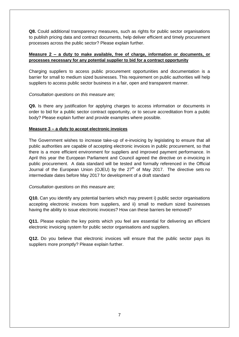**Q8.** Could additional transparency measures, such as rights for public sector organisations to publish pricing data and contract documents, help deliver efficient and timely procurement processes across the public sector? Please explain further.

#### **Measure 2 – a duty to make available, free of charge, information or documents, or processes necessary for any potential supplier to bid for a contract opportunity**

Charging suppliers to access public procurement opportunities and documentation is a barrier for small to medium sized businesses. This requirement on public authorities will help suppliers to access public sector business in a fair, open and transparent manner.

#### *Consultation questions on this measure are;*

**Q9.** Is there any justification for applying charges to access information or documents in order to bid for a public sector contract opportunity, or to secure accreditation from a public body? Please explain further and provide examples where possible.

#### **Measure 3 – a duty to accept electronic invoices**

The Government wishes to increase take-up of e-invoicing by legislating to ensure that all public authorities are capable of accepting electronic invoices in public procurement, so that there is a more efficient environment for suppliers and improved payment performance. In April this year the European Parliament and Council agreed the directive on e-invoicing in public procurement. A data standard will be tested and formally referenced in the Official Journal of the European Union (OJEU) by the 27<sup>th</sup> of May 2017. The directive sets no intermediate dates before May 2017 for development of a draft standard

#### *Consultation questions on this measure are;*

**Q10.** Can you identify any potential barriers which may prevent i) public sector organisations accepting electronic invoices from suppliers, and ii) small to medium sized businesses having the ability to issue electronic invoices? How can these barriers be removed?

**Q11.** Please explain the key points which you feel are essential for delivering an efficient electronic invoicing system for public sector organisations and suppliers.

**Q12.** Do you believe that electronic invoices will ensure that the public sector pays its suppliers more promptly? Please explain further.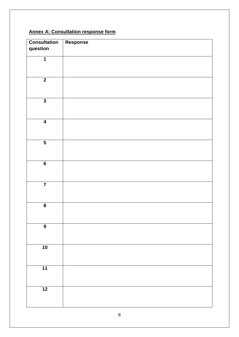### **Annex A: Consultation response form**

| <b>Consultation</b>     | Response |
|-------------------------|----------|
| question                |          |
| $\overline{\mathbf{1}}$ |          |
|                         |          |
|                         |          |
|                         |          |
| $\overline{2}$          |          |
|                         |          |
|                         |          |
| $\overline{\mathbf{3}}$ |          |
|                         |          |
|                         |          |
| $\overline{4}$          |          |
|                         |          |
|                         |          |
| $\overline{\mathbf{5}}$ |          |
|                         |          |
|                         |          |
| $\overline{\mathbf{6}}$ |          |
|                         |          |
|                         |          |
| $\overline{\mathbf{7}}$ |          |
|                         |          |
|                         |          |
|                         |          |
| $\overline{\mathbf{8}}$ |          |
|                         |          |
|                         |          |
| $\overline{9}$          |          |
|                         |          |
|                         |          |
| $\overline{10}$         |          |
|                         |          |
|                         |          |
| $\overline{11}$         |          |
|                         |          |
|                         |          |
| $\overline{12}$         |          |
|                         |          |
|                         |          |